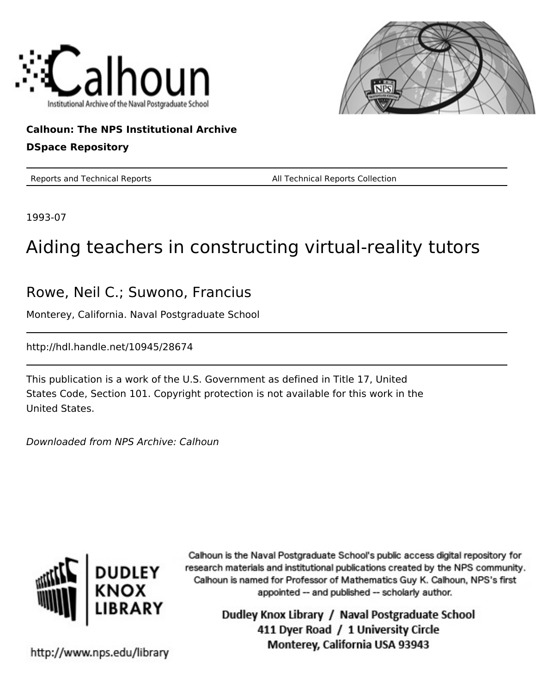



# **Calhoun: The NPS Institutional Archive DSpace Repository**

Reports and Technical Reports All Technical Reports Collection

1993-07

# Aiding teachers in constructing virtual-reality tutors

# Rowe, Neil C.; Suwono, Francius

Monterey, California. Naval Postgraduate School

http://hdl.handle.net/10945/28674

This publication is a work of the U.S. Government as defined in Title 17, United States Code, Section 101. Copyright protection is not available for this work in the United States.

Downloaded from NPS Archive: Calhoun



Calhoun is the Naval Postgraduate School's public access digital repository for research materials and institutional publications created by the NPS community. Calhoun is named for Professor of Mathematics Guy K. Calhoun, NPS's first appointed -- and published -- scholarly author.

> Dudley Knox Library / Naval Postgraduate School 411 Dyer Road / 1 University Circle Monterey, California USA 93943

http://www.nps.edu/library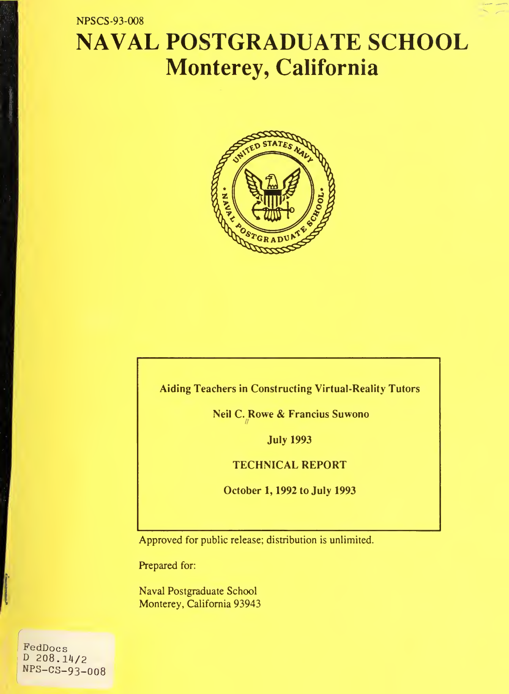NPSCS-93-008

# NAVAL POSTGRADUATE SCHOOL Monterey, California



Aiding Teachers in Constructing Virtual-Reality Tutors

Neil C. Rowe & Francius Suwono

July 1993

TECHNICAL REPORT

October 1, 1992 to July 1993

Approved for public release; distribution is unlimited.

Prepared for:

Naval Postgraduate School Monterey, California 93943

FedDocs D 208.14/2 NPS-CS-93-008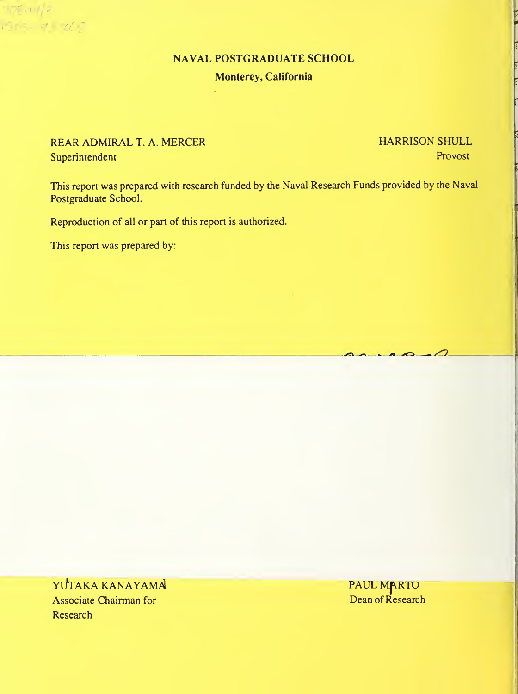## NAVAL POSTGRADUATE SCHOOL

### Monterey, California

# REAR ADMIRAL T. A. MERCER HARRISON SHULL Superintendent Provost

 $106.142$ 

 $\mathbf{v} = \mathbf{v} \cdot \mathbf{u}$ 

 $\overline{\phantom{0}}$ 

This report was prepared with research funded by the Naval Research Funds provided by the Naval Postgraduate School.

Reproduction of all or part of this report is authorized.

This report was prepared by:

YUTAKA KANAYAMA **PAUL MARTO** Associate Chairman for Dean of Research Research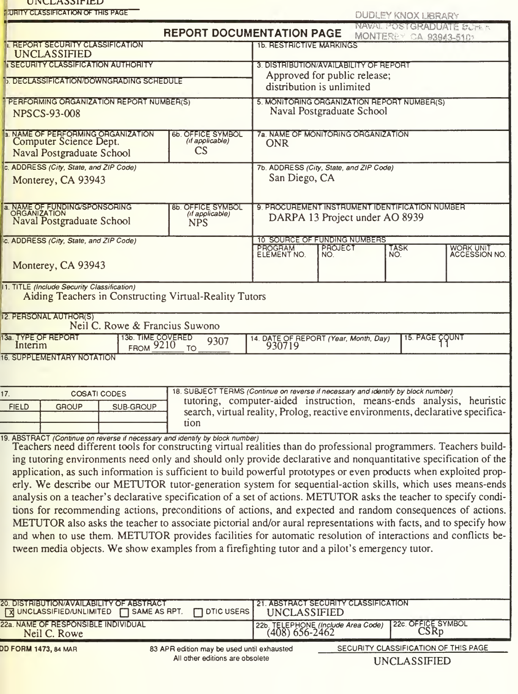| <b>PURITY CLASSIFICATION OF THIS PAGE</b>                                                                                                                                                                                                                                                                                                                                                                                                                                                                                                                                                                                                                                                                                                                                                                                                                                                                                                                                                                                       |                                                                                                                                                                |                                                                                                                                                                                                                                                                        |                                                       | <b>DUDLEY KNOX LIBRARY</b> |                                          |
|---------------------------------------------------------------------------------------------------------------------------------------------------------------------------------------------------------------------------------------------------------------------------------------------------------------------------------------------------------------------------------------------------------------------------------------------------------------------------------------------------------------------------------------------------------------------------------------------------------------------------------------------------------------------------------------------------------------------------------------------------------------------------------------------------------------------------------------------------------------------------------------------------------------------------------------------------------------------------------------------------------------------------------|----------------------------------------------------------------------------------------------------------------------------------------------------------------|------------------------------------------------------------------------------------------------------------------------------------------------------------------------------------------------------------------------------------------------------------------------|-------------------------------------------------------|----------------------------|------------------------------------------|
|                                                                                                                                                                                                                                                                                                                                                                                                                                                                                                                                                                                                                                                                                                                                                                                                                                                                                                                                                                                                                                 | <b>REPORT DOCUMENTATION PAGE</b>                                                                                                                               |                                                                                                                                                                                                                                                                        |                                                       | MONTEREY CA 93943-5101     | NAVAL POSTGRADUATE SUN R                 |
| <b>TREPORT SECURITY CLASSIFICATION</b><br><b>UNCLASSIFIED</b>                                                                                                                                                                                                                                                                                                                                                                                                                                                                                                                                                                                                                                                                                                                                                                                                                                                                                                                                                                   |                                                                                                                                                                | <b>15. RESTRICTIVE MARKINGS</b>                                                                                                                                                                                                                                        |                                                       |                            |                                          |
| ISECURITY CLASSIFICATION AUTHORITY                                                                                                                                                                                                                                                                                                                                                                                                                                                                                                                                                                                                                                                                                                                                                                                                                                                                                                                                                                                              |                                                                                                                                                                | <b>BEOIS 1:13U TONZVALEABIE IN OF REPORT</b>                                                                                                                                                                                                                           |                                                       |                            |                                          |
| <b>5. DECLASSIFICATION/DOWNGRADING SCHEDULE</b>                                                                                                                                                                                                                                                                                                                                                                                                                                                                                                                                                                                                                                                                                                                                                                                                                                                                                                                                                                                 |                                                                                                                                                                | Approved for public release;<br>distribution is unlimited                                                                                                                                                                                                              |                                                       |                            |                                          |
| PERFORMING ORGANIZATION REPORT NUMBER(S)<br><b>NPSCS-93-008</b>                                                                                                                                                                                                                                                                                                                                                                                                                                                                                                                                                                                                                                                                                                                                                                                                                                                                                                                                                                 |                                                                                                                                                                | 5. MONITORING ORGANIZATION REPORT NUMBER(S)<br>Naval Postgraduate School                                                                                                                                                                                               |                                                       |                            |                                          |
| a. NAME OF PERFORMING ORGANIZATION<br>Computer Science Dept.<br>Naval Postgraduate School                                                                                                                                                                                                                                                                                                                                                                                                                                                                                                                                                                                                                                                                                                                                                                                                                                                                                                                                       | 6b. OFFICE SYMBOL<br>(if applicable)<br>CS                                                                                                                     | 7a. NAME OF MONITORING ORGANIZATION<br><b>ONR</b>                                                                                                                                                                                                                      |                                                       |                            |                                          |
| c. ADDRESS (City, State, and ZIP Code)<br>Monterey, CA 93943                                                                                                                                                                                                                                                                                                                                                                                                                                                                                                                                                                                                                                                                                                                                                                                                                                                                                                                                                                    |                                                                                                                                                                | 7b. ADDRESS (City, State, and ZIP Code)<br>San Diego, CA                                                                                                                                                                                                               |                                                       |                            |                                          |
| a. NAME OF FUNDING/SPONSORING<br>Naval Postgraduate School                                                                                                                                                                                                                                                                                                                                                                                                                                                                                                                                                                                                                                                                                                                                                                                                                                                                                                                                                                      | 85. OFFICE SYMBOL<br>(if applicable)<br><b>NPS</b>                                                                                                             | <b>Conservation from the conservation of the conservation of the conservation of the conservation of the conservation of the conservation of the conservation of the conservation of the conservation of the conservation of the</b><br>DARPA 13 Project under AO 8939 |                                                       |                            |                                          |
| c. ADDRESS (City, State, and ZIP Code)<br>Monterey, CA 93943                                                                                                                                                                                                                                                                                                                                                                                                                                                                                                                                                                                                                                                                                                                                                                                                                                                                                                                                                                    |                                                                                                                                                                | PROGRAM<br>ELEMENT NO.                                                                                                                                                                                                                                                 | <b>10 SOURCE OF FUNDING NUMBERS</b><br>PROJECT<br>NO. | <b>TASK</b><br>NO.         | <b>WORK UNIT</b><br><b>ACCESSION NO.</b> |
| Neil C. Rowe & Francius Suwono<br>135. TIME COVERED<br><b>13a. TYPE OF REPORT</b><br><b>FROM 9210</b><br>Interim<br>16. SUPPLEMENTARY NOTATION                                                                                                                                                                                                                                                                                                                                                                                                                                                                                                                                                                                                                                                                                                                                                                                                                                                                                  | 9307<br>TO                                                                                                                                                     | 14. DATE OF REPORT (Year, Month, Day)<br>930719                                                                                                                                                                                                                        |                                                       | <b>15. PAGE</b>            | COUNT                                    |
| 18. SUBJECT TERMS (Continue on reverse if necessary and identify by block number)<br>17.<br><b>COSATI CODES</b>                                                                                                                                                                                                                                                                                                                                                                                                                                                                                                                                                                                                                                                                                                                                                                                                                                                                                                                 |                                                                                                                                                                |                                                                                                                                                                                                                                                                        |                                                       |                            |                                          |
| <b>GROUP</b><br>SUB-GROUP<br><b>FIELD</b>                                                                                                                                                                                                                                                                                                                                                                                                                                                                                                                                                                                                                                                                                                                                                                                                                                                                                                                                                                                       | tutoring, computer-aided instruction, means-ends analysis, heuristic<br>search, virtual reality, Prolog, reactive environments, declarative specifica-<br>tion |                                                                                                                                                                                                                                                                        |                                                       |                            |                                          |
| 19. ABSTRACT (Continue on reverse if necessary and identify by block number)<br>Teachers need different tools for constructing virtual realities than do professional programmers. Teachers build-<br>ing tutoring environments need only and should only provide declarative and nonquantitative specification of the<br>application, as such information is sufficient to build powerful prototypes or even products when exploited prop-<br>erly. We describe our METUTOR tutor-generation system for sequential-action skills, which uses means-ends<br>analysis on a teacher's declarative specification of a set of actions. METUTOR asks the teacher to specify condi-<br>tions for recommending actions, preconditions of actions, and expected and random consequences of actions.<br>METUTOR also asks the teacher to associate pictorial and/or aural representations with facts, and to specify how<br>and when to use them. METUTOR provides facilities for automatic resolution of interactions and conflicts be- |                                                                                                                                                                |                                                                                                                                                                                                                                                                        |                                                       |                            |                                          |
| tween media objects. We show examples from a firefighting tutor and a pilot's emergency tutor.                                                                                                                                                                                                                                                                                                                                                                                                                                                                                                                                                                                                                                                                                                                                                                                                                                                                                                                                  |                                                                                                                                                                |                                                                                                                                                                                                                                                                        |                                                       |                            |                                          |

| DD FORM 1473, 84 MAR                                                                                   | 83 APR edition may be used until exhausted |                                                                      | SECURITY CLASSIFICATION OF THIS PAGE |
|--------------------------------------------------------------------------------------------------------|--------------------------------------------|----------------------------------------------------------------------|--------------------------------------|
| 22a. NAME OF RESPONSIBLE INDIVIDUAL<br>Neil C. Rowe                                                    |                                            | 226. TELEPHONE (Include Area Code) 22c. OFFICE SYMBOL (408) 656-2462 |                                      |
| 2009 DISMENEUM MONAVAUSAEUM MOETAESMEVOLS<br>$\sqrt{X}$ UNCLASSIFIED/UNLIMITED $\sqrt{Y}$ SAME AS RPT. | $\Box$ DTIC USERS $\Box$                   | <b>F21 A:S1:MOTSECU:INYCLSSECONOM</b><br>UNCLASSIFIED                |                                      |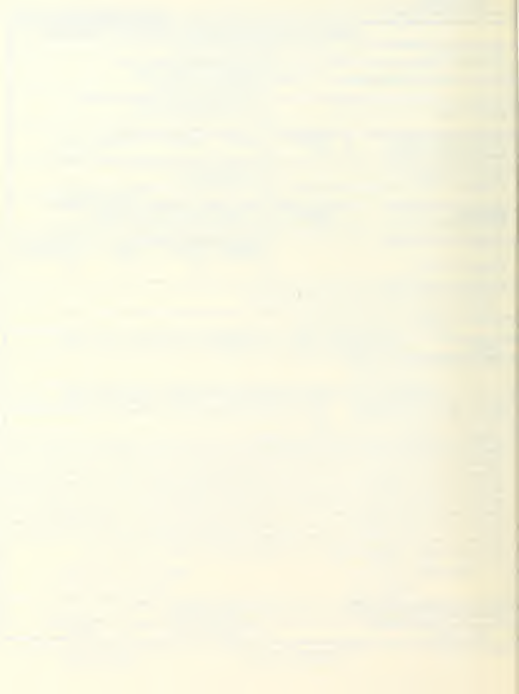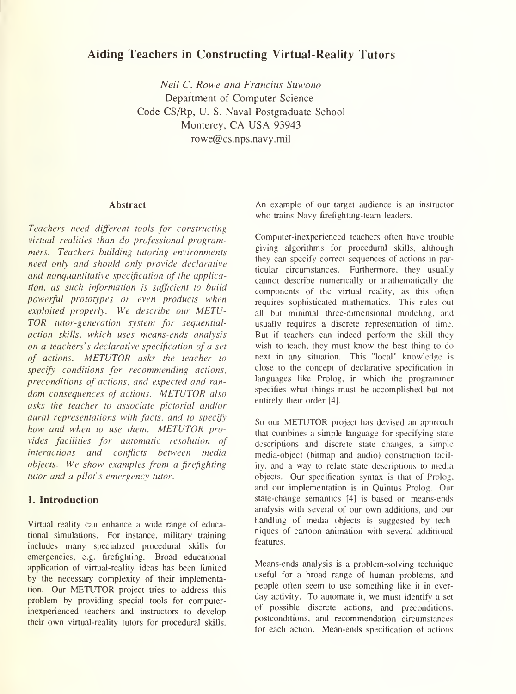## Aiding Teachers in Constructing Virtual-Reality Tutors

Neil C. Rowe and Francius Suwono Department of Computer Science Code CS/Rp, U. S. Naval Postgraduate School Monterey, CA USA 93943 rowe@cs.nps.navy.mil

#### Abstract

Teachers need different tools for constructing virtual realities than do professional programmers. Teachers building tutoring environments need only and should only provide declarative and nonquantitative specification of the application, as such information is sufficient to build powerful prototypes or even products when exploited properly. We describe our METU-TOR tutor-generation system for sequentialaction skills, which uses means-ends analysis on a teachers' <sup>s</sup> declarative specification of a set of actions. METUTOR asks the teacher to specify conditions for recommending actions, preconditions of actions, and expected and ran dom consequences of actions. METUTOR also asks the teacher to associate pictorial and/or aural representations with facts, and to specify how and when to use them. METUTOR provides facilities for automatic resolution of interactions and conflicts between media objects. We show examples from a firefighting tutor and a pilot's emergency tutor.

#### 1. Introduction

Virtual reality can enhance a wide range of educational simulations. For instance, military training includes many specialized procedural skills for emergencies, e.g. firefighting. Broad educational application of virtual-reality ideas has been limited by the necessary complexity of their implementation. Our METUTOR project tries to address this problem by providing special tools for computerinexperienced teachers and instructors to develop their own virtual-reality tutors for procedural skills.

An example of our target audience is an instructor who trains Navy firefighting-team leaders.

Computer-inexperienced teachers often have trouble giving algorithms for procedural skills, although they can specify correct sequences of actions in particular circumstances. Furthermore, they usually cannot describe numerically or mathematically the components of the virtual reality, as this often requires sophisticated mathematics. This rules out all but minimal three-dimensional modeling, and usually requires a discrete representation of time. But if teachers can indeed perform the skill they wish to teach, they must know the best thing to do next in any situation. This "local" knowledge is close to the concept of declarative specification in languages like Prolog, in which the programmer specifies what things must be accomplished but not entirely their order [4].

So our METUTOR project has devised an approach that combines a simple language for specifying state descriptions and discrete state changes, a simple media-object (bitmap and audio) construction facility, and a way to relate state descriptions to media objects. Our specification syntax is that of Prolog, and our implementation is in Quintus Prolog. Our state-change semantics [4] is based on means-ends analysis with several of our own additions, and our handling of media objects is suggested by tech niques of cartoon animation with several additional features.

Means-ends analysis is a problem-solving technique useful for a broad range of human problems, and people often seem to use something like it in ever day activity. To automate it, we must identify a set of possible discrete actions, and preconditions, postconditions, and recommendation circumstances for each action. Mean-ends specification of actions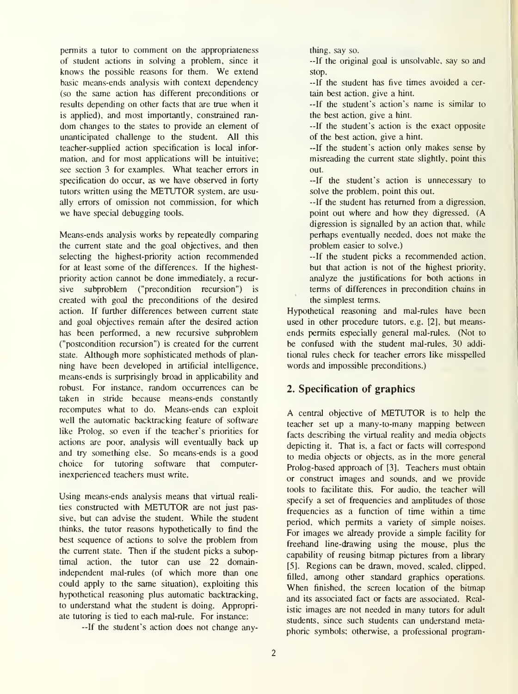permits a tutor to comment on the appropriateness of student actions in solving a problem, since it knows the possible reasons for them. We extend basic means-ends analysis with context dependency (so the same action has different preconditions or results depending on other facts that are true when it is applied), and most importantly, constrained random changes to the states to provide an element of unanticipated challenge to the student. All this teacher-supplied action specification is local infor mation, and for most applications will be intuitive; see section <sup>3</sup> for examples. What teacher errors in specification do occur, as we have observed in forty tutors written using the METUTOR system, are usually errors of omission not commission, for which we have special debugging tools.

Means-ends analysis works by repeatedly comparing the current state and the goal objectives, and then selecting the highest-priority action recommended for at least some of the differences. If the highestpriority action cannot be done immediately, a recursive subproblem ("precondition recursion") is created with goal the preconditions of the desired action. If further differences between current state and goal objectives remain after the desired action has been performed, a new recursive subproblem ("postcondition recursion") is created for the current state. Although more sophisticated methods of planning have been developed in artificial intelligence, means-ends is surprisingly broad in applicability and robust. For instance, random occurrences can be taken in stride because means-ends constantly recomputes what to do. Means-ends can exploit well the automatic backtracking feature of software like Prolog, so even if the teacher's priorities for actions are poor, analysis will eventually back up and try something else. So means-ends is a good choice for tutoring software that computerinexperienced teachers must write.

Using means-ends analysis means that virtual realities constructed with METUTOR are not just passive, but can advise the student. While the student thinks, the tutor reasons hypothetically to find the best sequence of actions to solve the problem from the current state. Then if the student picks a suboptimal action, the tutor can use 22 domainindependent mal-rules (of which more than one could apply to the same situation), exploiting this hypothetical reasoning plus automatic backtracking, to understand what the student is doing. Appropriate tutoring is tied to each mal-rule. For instance:

-If the student's action does not change any-

thing, say so.

-If the original goal is unsolvable, say so and stop.

—If the student has five times avoided a certain best action, give a hint.

—If the student's action's name is similar to the best action, give a hint.

—If the student's action is the exact opposite of the best action, give a hint.

—If the student's action only makes sense by misreading the current state slightly, point this out.

-If the student's action is unnecessary to solve the problem, point this out.

-If the student has returned from a digression, point out where and how they digressed. (A digression is signalled by an action that, while perhaps eventually needed, does not make the problem easier to solve.)

-If the student picks a recommended action, but that action is not of the highest priority, analyze the justifications for both actions in terms of differences in precondition chains in the simplest terms.

Hypothetical reasoning and mal-rules have been used in other procedure tutors, e.g. [2], but meansends permits especially general mal-rules. (Not to be confused with the student mal-rules, 30 additional rules check for teacher errors like misspelled words and impossible preconditions.)

### 2. Specification of graphics

A central objective of METUTOR is to help the teacher set up a many-to-many mapping between facts describing the virtual reality and media objects depicting it. That is, a fact or facts will correspond to media objects or objects, as in the more general Prolog-based approach of [3]. Teachers must obtain or construct images and sounds, and we provide tools to facilitate this. For audio, the teacher will specify a set of frequencies and amplitudes of those frequencies as a function of time within a time period, which permits a variety of simple noises. For images we already provide a simple facility for freehand line-drawing using the mouse, plus the capability of reusing bitmap pictures from a library [5]. Regions can be drawn, moved, scaled, clipped, filled, among other standard graphics operations. When finished, the screen location of the bitmap and its associated fact or facts are associated. Realistic images are not needed in many tutors for adult students, since such students can understand metaphoric symbols; otherwise, a professional program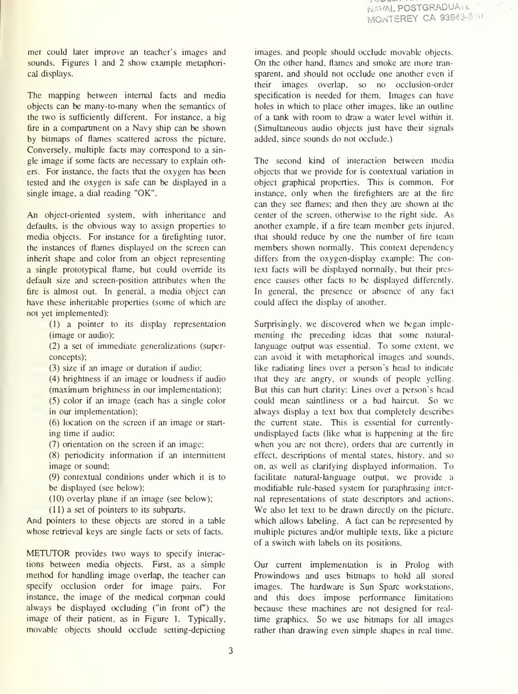mer could later improve an teacher's images and sounds. Figures 1 and 2 show example metaphorical displays.

The mapping between internal facts and media objects can be many-to-many when the semantics of the two is sufficiently different. For instance, a big fire in a compartment on a Navy ship can be shown by bitmaps of flames scattered across the picture. Conversely, multiple facts may correspond to a sin gle image if some facts are necessary to explain others. For instance, the facts that the oxygen has been tested and the oxygen is safe can be displayed in a single image, a dial reading "OK".

An object-oriented system, with inheritance and defaults, is the obvious way to assign properties to media objects. For instance for a firefighting tutor, the instances of flames displayed on the screen can inherit shape and color from an object representing a single prototypical flame, but could override its default size and screen-position attributes when the fire is almost out. In general, a media object can have these inheritable properties (some of which are not yet implemented):

> (1) a pointer to its display representation (image or audio);

(2) a set of immediate generalizations (superconcepts);

(3) size if an image or duration if audio;

(4) brightness if an image or loudness if audio (maximum brightness in our implementation); (5) color if an image (each has a single color in our implementation);

(6) location on the screen if an image or start ing time if audio;

(7) orientation on the screen if an image;

(8) periodicity information if an intermittent image or sound;

(9) contextual conditions under which it is to be displayed (see below);

(10) overlay plane if an image (see below);

 $(11)$  a set of pointers to its subparts.

And pointers to these objects are stored in a table whose retrieval keys are single facts or sets of facts.

METUTOR provides two ways to specify interac tions between media objects. First, as a simple method for handling image overlap, the teacher can specify occlusion order for image pairs. For instance, the image of the medical corpman could always be displayed occluding ("in front of") the image of their patient, as in Figure 1. Typically, movable objects should occlude setting-depicting

images, and people should occlude movable objects. On the other hand, flames and smoke are more tran sparent, and should not occlude one another even if their images overlap, so no occlusion-order specification is needed for them. Images can have holes in which to place other images, like an outline of a tank with room to draw a water level within it. (Simultaneous audio objects just have their signals added, since sounds do not occlude.)

The second kind of interaction between media objects that we provide for is contextual variation in object graphical properties. This is common. For instance, only when the firefighters are at the fire can they see flames; and then they are shown at the center of the screen, otherwise to the right side. As another example, if a fire team member gets injured, that should reduce by one the number of fire team members shown normally. This context dependency differs from the oxygen-display example: The context facts will be displayed normally, but their pres ence causes other facts to be displayed differently. In general, the presence or absence of any fact could affect the display of another.

Surprisingly, we discovered when we began implementing the preceding ideas that some natural language output was essential. To some extent, we can avoid it with metaphorical images and sounds, like radiating lines over a person's head to indicate that they are angry, or sounds of people yelling. But this can hurt clarity: Lines over a person's head could mean saintliness or a bad haircut. So we always display a text box that completely describes the current state. This is essential for currentlyundisplayed facts (like what is happening at the fire when you are not there), orders that are currently in effect, descriptions of mental states, history, and so on, as well as clarifying displayed information. To facilitate natural-language output, we provide a modifiable rule -based system for paraphrasing inter nal representations of state descriptors and actions. We also let text to be drawn directly on the picture, which allows labeling. A fact can be represented by multiple pictures and/or multiple texts, like a picture of a switch with labels on its positions.

Our current implementation is in Prolog with Prowindows and uses bitmaps to hold all stored images. The hardware is Sun Sparc workstations, and this does impose performance limitations because these machines are not designed for real time graphics. So we use bitmaps for all images rather than drawing even simple shapes in real time.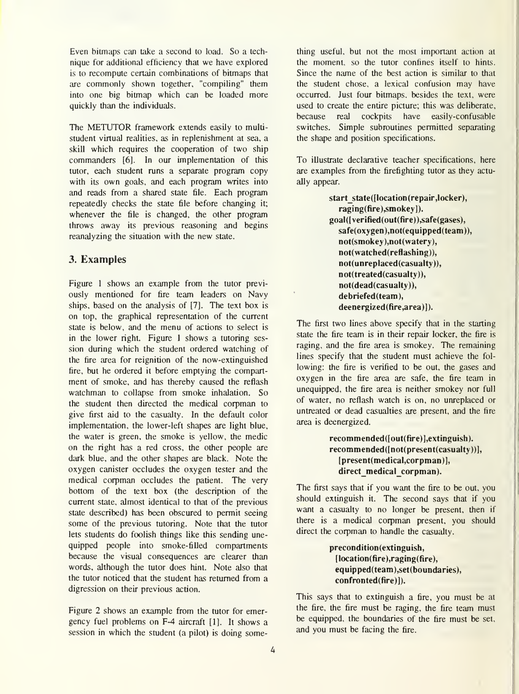Even bitmaps can lake a second to load. So a tech nique for additional efficiency that we have explored is to recompute certain combinations of bitmaps that are commonly shown together, "compiling" them into one big bitmap which can be loaded more quickly than the individuals.

The METUTOR framework extends easily to multi student virtual realities, as in replenishment at sea, a skill which requires the cooperation of two ship commanders [6]. In our implementation of this tutor, each student runs a separate program copy with its own goals, and each program writes into and reads from a shared state file. Each program repeatedly checks the state file before changing it; whenever the file is changed, the other program throws away its previous reasoning and begins reanalyzing the situation with the new state.

#### 3. Examples

Figure <sup>1</sup> shows an example from the tutor previously mentioned for fire team leaders on Navy ships, based on the analysis of [7]. The text box is on top, the graphical representation of the current state is below, and the menu of actions to select is in the lower right. Figure <sup>1</sup> shows a tutoring ses sion during which the student ordered watching of the fire area for reignition of the now-extinguished fire, but he ordered it before emptying the compartment of smoke, and has thereby caused the reflash watchman to collapse from smoke inhalation. So the student then directed the medical corpman to give first aid to the casualty. In the default color implementation, the lower-left shapes are light blue, the water is green, the smoke is yellow, the medic on the right has a red cross, the other people are dark blue, and the other shapes are black. Note the oxygen canister occludes the oxygen tester and the medical corpman occludes the patient. The very bottom of the text box (the description of the current state, almost identical to that of the previous state described) has been obscured to permit seeing some of the previous tutoring. Note that the tutor lets students do foolish things like this sending une quipped people into smoke-filled compartments because the visual consequences are clearer than words, although the tutor does hint. Note also that the tutor noticed that the student has returned from a digression on their previous action.

Figure 2 shows an example from the tutor for emer gency fuel problems on F-4 aircraft [1]. It shows a session in which the student (a pilot) is doing some-

thing useful, but not the most important action at the moment, so the tutor confines itself to hints. Since the name of the best action is similar to that the student chose, a lexical confusion may have occurred. Just four bitmaps, besides the text, were used to create the entire picture; this was deliberate, because real cockpits have easily-confusable switches. Simple subroutines permitted separating the shape and position specifications.

To illustrate declarative teacher specifications, here are examples from the firefighting tutor as they actually appear.

> start\_state([location(repair,locker), raging(fire), smokey]). goal([verified(out(fire)),safe(gases), safe(oxygen),not(equipped(team)), not(smokey),not(watery), not(watched(reflashing)), not(unreplaced(casualty)), not(treated(casualty)), not(dead(casualty)), debriefed(team), deenergized(fire,area)]).

The first two lines above specify that in the starting state the fire team is in their repair locker, die fire is raging, and the fire area is smokey. The remaining lines specify that the student must achieve the fol lowing: the fire is verified to be out, the gases and oxygen in the fire area are safe, the fire team in unequipped, the fire area is neither smokey nor full of water, no reflash watch is on, no unreplaced or untreated or dead casualties are present, and the fire area is deenergized.

#### recommended([out(fire)], extinguish). recommended([not(present(casualty))], [present(medical,corpman)], direct medical corpman).

The first says that if you want the fire to be out, you should extinguish it. The second says that if you want a casualty to no longer be present, then if there is a medical corpman present, you should direct the corpman to handle the casualty.

#### precondition(extinguish, [location(fire), raging(fire), equipped(team), set(boundaries), confronted(fire)]).

This says that to extinguish a fire, you must be at the fire, the fire must be raging, the fire team must be equipped, the boundaries of the fire must be set, and you must be facing the fire.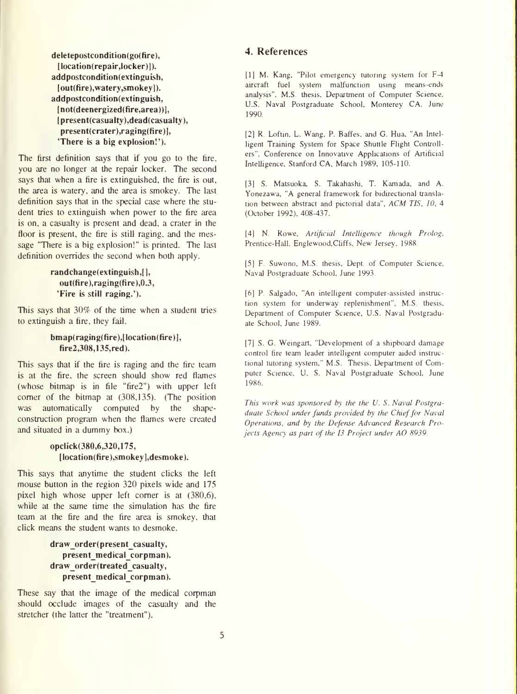```
deletepostcondition(go(fire),
 [location(repair,locker)]).
addpostcondition(extinguish,
 [out(fire),watery,smokey]).
addpostcondition(extinguish,
 [not(deenergized(fire,area))],
 [present(casualty),dead(casualty),
 present(crater),raging(fire)],
 'There is a big explosion!').
```
The first definition says that if you go to the fire, you are no longer at the repair locker. The second says that when a fire is extinguished, the fire is out, the area is watery, and the area is smokey. The last definition says that in the special case where the stu dent tries to extinguish when power to the fire area is on, a casualty is present and dead, a crater in the floor is present, the fire is still raging, and the message "There is a big explosion!" is printed. The last definition overrides the second when both apply.

```
randchange(extinguish,[ ], out(fire),raging(fire),0.3, 'Fire is still raging.').
```
This says that 30% of the time when a student tries to extinguish a fire, they fail.

#### bmap(raging(fire),[location(fire)], fire2,308,135,red).

This says that if the fire is raging and the fire team is at the fire, the screen should show red flames (whose bitmap is in file "fire2") with upper left comer of the bitmap at (308,135). (The position was automatically computed by the shapeconstruction program when the flames were created and situated in <sup>a</sup> dummy box.)

#### opclick(380,6,320,175, (location(fire),smokey],desmoke).

This says that anytime the student clicks the left mouse button in the region 320 pixels wide and 175 pixel high whose upper left comer is at (380,6), while at the same time the simulation has the fire team at the fire and the fire area is smokey, that click means the student wants to desmoke.

#### draw order(present casualty, present\_medical\_corpman). draw\_order(treated\_casualty, present medical corpman).

These say that the image of the medical corpman should occlude images of the casualty and the stretcher (the latter the "treatment").

#### 4. References

[1] M. Kang, "Pilot emergency tutoring system for F-4 aircraft fuel system malfunction using means-ends analysis", M.S. thesis. Department of Computer Science, U.S. Naval Postgraduate School, Monterey CA, June 1990.

(2] R. Loftin, L. Wang, P. Baffes, and G. Hua, "An Intel ligent Training System for Space Shuttle Flight Controllers", Conference on Innovative Applications of Artificial Intelligence, Stanford CA, March 1989, 105-110.

[3] S. Matsuoka, S. Takahashi, T. Kamada, and A. Yonezawa, "A general framework for bidirectional transla tion between abstract and pictorial data", ACM TIS, 10, <sup>4</sup> (October 1992), 408-437.

|4] N. Rowe, Artificial Intelligence though Prolog, Prentice-Hall. Englewood.Cliffs, New Jersey, 1988.

[5] F. Suwono, M.S. thesis, Dept. of Computer Science, Naval Postgraduate School, June 1993.

[6] P. SaJgado, "An intelligent computer-assisted instruc tion system for underway replenishment", M.S. thesis. Department of Computer Science, U.S. Naval Postgraduate School, June 1989.

[7] S. G. Weingart. "Development of <sup>a</sup> shipboard damage control fire team leader intelligent computer aided instructional tutoring system." M.S. Thesis, Department of Computer Science. U. S. Naval Postgraduate School, June 1986.

This work was sponsored by the the U. S. Naval Postgra duate School under funds provided by the Chief for Naval Operations, and by the Defense Advanced Research Projects Agency as part of the <sup>13</sup> Project under AO 8939.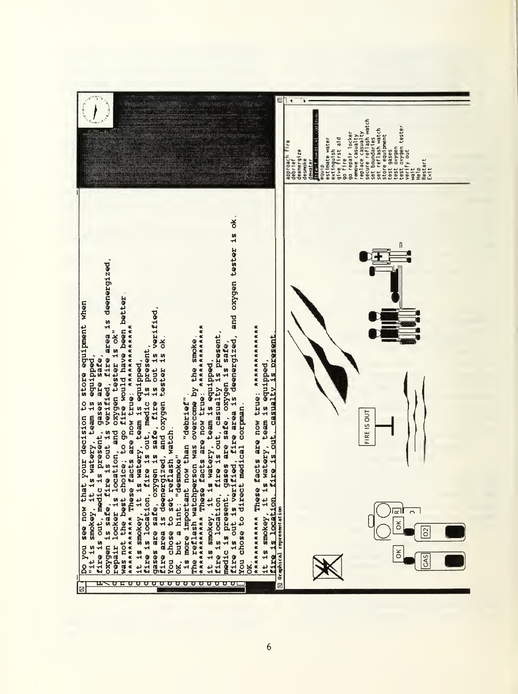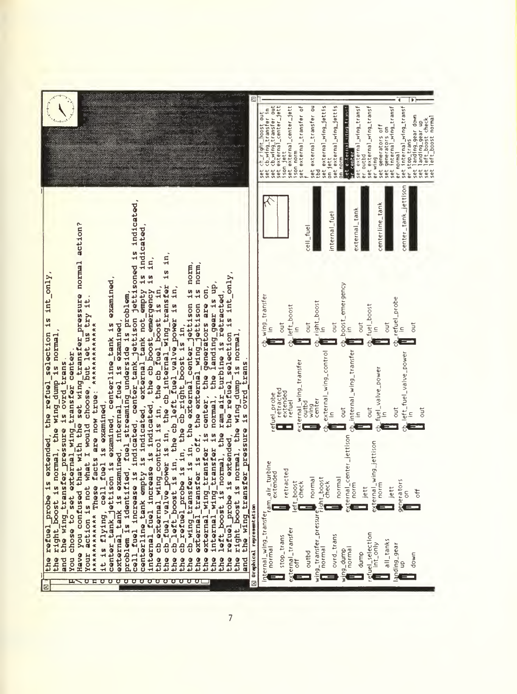

 $\overline{7}$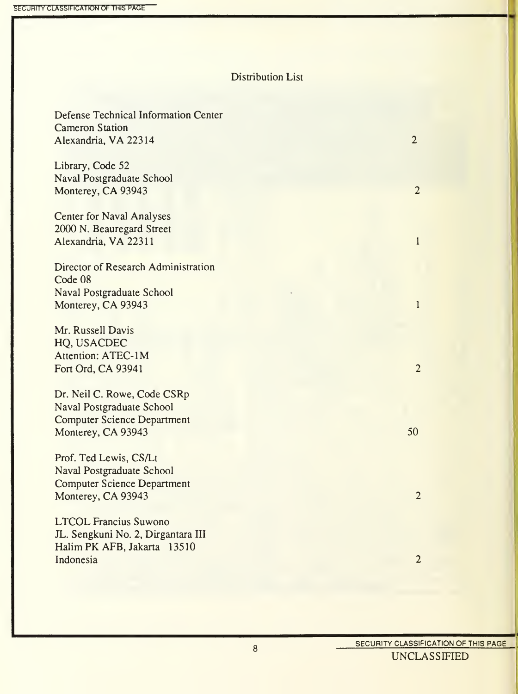# Distribution List

| Defense Technical Information Center<br><b>Cameron Station</b>    |                |  |
|-------------------------------------------------------------------|----------------|--|
| Alexandria, VA 22314                                              | $\overline{2}$ |  |
|                                                                   |                |  |
| Library, Code 52                                                  |                |  |
| Naval Postgraduate School                                         |                |  |
| Monterey, CA 93943                                                | $\overline{2}$ |  |
|                                                                   |                |  |
| <b>Center for Naval Analyses</b><br>2000 N. Beauregard Street     |                |  |
| Alexandria, VA 22311                                              | $\mathbf{1}$   |  |
|                                                                   |                |  |
| Director of Research Administration                               |                |  |
| Code 08                                                           |                |  |
| Naval Postgraduate School                                         |                |  |
| Monterey, CA 93943                                                | $\mathbf{1}$   |  |
| Mr. Russell Davis                                                 |                |  |
| HQ, USACDEC                                                       |                |  |
| Attention: ATEC-1M                                                |                |  |
| Fort Ord, CA 93941                                                | $\overline{2}$ |  |
|                                                                   |                |  |
| Dr. Neil C. Rowe, Code CSRp                                       |                |  |
| Naval Postgraduate School                                         |                |  |
| <b>Computer Science Department</b>                                | 50             |  |
| Monterey, CA 93943                                                |                |  |
| Prof. Ted Lewis, CS/Lt                                            |                |  |
| Naval Postgraduate School                                         |                |  |
| <b>Computer Science Department</b>                                |                |  |
| Monterey, CA 93943                                                | $\overline{2}$ |  |
|                                                                   |                |  |
| <b>LTCOL Francius Suwono</b>                                      |                |  |
| JL. Sengkuni No. 2, Dirgantara III<br>Halim PK AFB, Jakarta 13510 |                |  |
| Indonesia                                                         | $\overline{2}$ |  |
|                                                                   |                |  |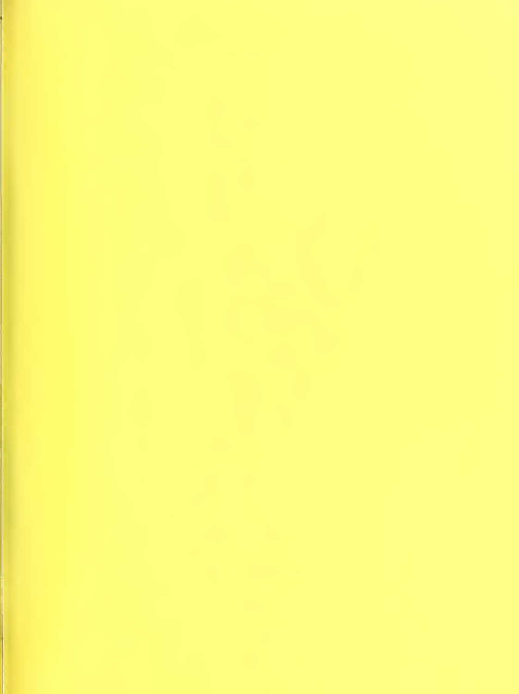